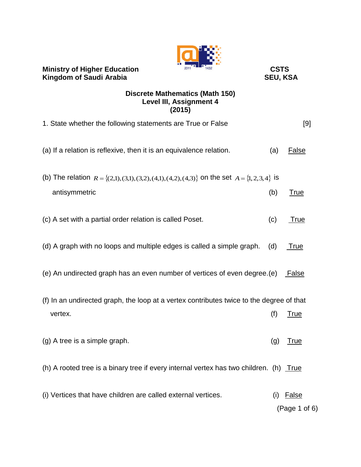| <b>Ministry of Higher Education</b><br><b>Kingdom of Saudi Arabia</b>                                  | <b>CSTS</b><br><b>SEU, KSA</b> |                               |
|--------------------------------------------------------------------------------------------------------|--------------------------------|-------------------------------|
| <b>Discrete Mathematics (Math 150)</b><br><b>Level III, Assignment 4</b><br>(2015)                     |                                |                               |
| 1. State whether the following statements are True or False                                            |                                | [9]                           |
| (a) If a relation is reflexive, then it is an equivalence relation.                                    | (a)                            | False                         |
| (b) The relation $R = \{(2,1), (3,1), (3,2), (4,1), (4,2), (4,3)\}$ on the set $A = \{1, 2, 3, 4\}$ is |                                |                               |
| antisymmetric                                                                                          | (b)                            | <b>True</b>                   |
| (c) A set with a partial order relation is called Poset.                                               | (c)                            | True                          |
| (d) A graph with no loops and multiple edges is called a simple graph.                                 | (d)                            | True                          |
| (e) An undirected graph has an even number of vertices of even degree. (e)                             |                                | False                         |
| (f) In an undirected graph, the loop at a vertex contributes twice to the degree of that               |                                |                               |
| vertex.                                                                                                | (f)                            | <u>True</u>                   |
| (g) A tree is a simple graph.                                                                          | (g)                            | <u>True</u>                   |
| (h) A rooted tree is a binary tree if every internal vertex has two children. (h) $True$               |                                |                               |
| (i) Vertices that have children are called external vertices.                                          | (i)                            | <b>False</b><br>(Page 1 of 6) |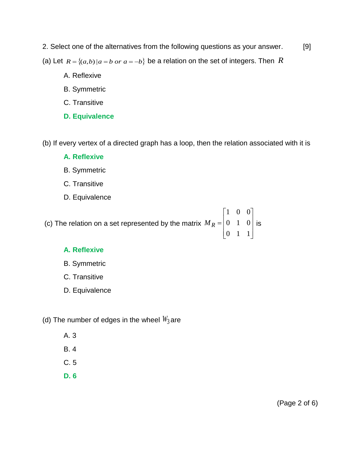- 2. Select one of the alternatives from the following questions as your answer. [9]
- (a) Let  $R = \{(a,b) | a = b \text{ or } a = -b\}$  be a relation on the set of integers. Then R
	- A. Reflexive
	- B. Symmetric
	- C. Transitive
	- **D. Equivalence**

(b) If every vertex of a directed graph has a loop, then the relation associated with it is

- **A. Reflexive**
- B. Symmetric
- C. Transitive
- D. Equivalence

(c) The relation on a set represented by the matrix  $\overline{\phantom{a}}$  $\overline{\phantom{a}}$  $\overline{\phantom{a}}$  $\rfloor$  $\overline{\phantom{a}}$  $\mathsf{L}$  $\overline{a}$  $\overline{a}$ L  $\overline{\phantom{a}}$  $=$ 0 1 1 0 1 0 1 0 0  $M_R = |0 \quad 1 \quad 0|$  is

## **A. Reflexive**

- B. Symmetric
- C. Transitive
- D. Equivalence
- (d) The number of edges in the wheel  $W_3$ are
	- A. 3
	- B. 4
	- C. 5
	- **D. 6**

(Page 2 of 6)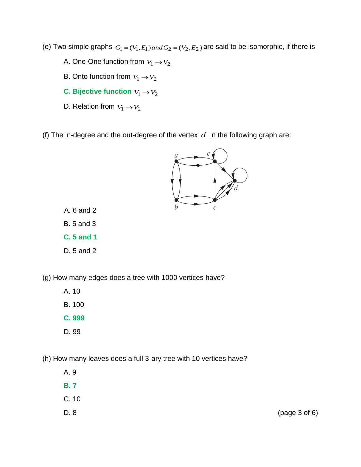- (e) Two simple graphs  $G_1 = (V_1, E_1)$  *and*  $G_2 = (V_2, E_2)$  are said to be isomorphic, if there is
	- A. One-One function from  $\,_{1}\rightarrow V_{2}$
	- B. Onto function from  $V_1 \rightarrow V_2$
	- **C.** Bijective function  $V_1 \rightarrow V_2$
	- D. Relation from  $V_1 \rightarrow V_2$
- (f) The in-degree and the out-degree of the vertex  $d$  in the following graph are:



- B. 5 and 3
- **C. 5 and 1**
- D. 5 and 2

(g) How many edges does a tree with 1000 vertices have?

- A. 10
- B. 100
- **C. 999**
- D. 99

(h) How many leaves does a full 3-ary tree with 10 vertices have?

- A. 9
- **B. 7**
- C. 10
- D. 8 (page 3 of 6)

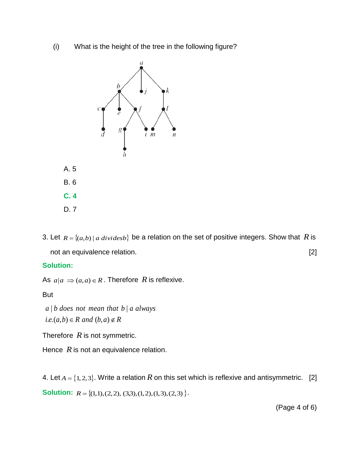(i) What is the height of the tree in the following figure?



3. Let  $R = \{(a,b) \mid a \ dividesb\}$  be a relation on the set of positive integers. Show that R is not an equivalence relation. [2]

## **Solution:**

As  $a|a \Rightarrow (a,a) \in R$ . Therefore R is reflexive.

But

 $i.e. (a,b) \in R$  *and*  $(b,a) \notin R$  $a \mid b$  *does* not mean that  $b \mid a$  *always* 

Therefore *R* is not symmetric.

Hence  $R$  is not an equivalence relation.

4. Let  $A = \{1,2,3\}$ . Write a relation R on this set which is reflexive and antisymmetric. [2] **Solution:**  $R = \{(1,1), (2,2), (3,3), (1,2), (1,3), (2,3)\}.$ 

(Page 4 of 6)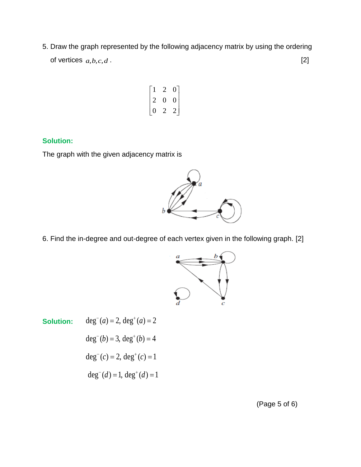5. Draw the graph represented by the following adjacency matrix by using the ordering of vertices  $a,b,c,d$ . [2]

$$
\begin{bmatrix} 1 & 2 & 0 \\ 2 & 0 & 0 \\ 0 & 2 & 2 \end{bmatrix}
$$

## **Solution:**

The graph with the given adjacency matrix is



6. Find the in-degree and out-degree of each vertex given in the following graph. [2]



**Solution:**  $deg^{-}(a) = 2, deg^{+}(a) = 2$ 

 $\text{deg}^-(b) = 3, \text{deg}^+(b) = 4$ 

 $deg^{-}(c) = 2, deg^{+}(c) = 1$ 

 $deg^{-}(d) = 1, deg^{+}(d) = 1$ 

(Page 5 of 6)